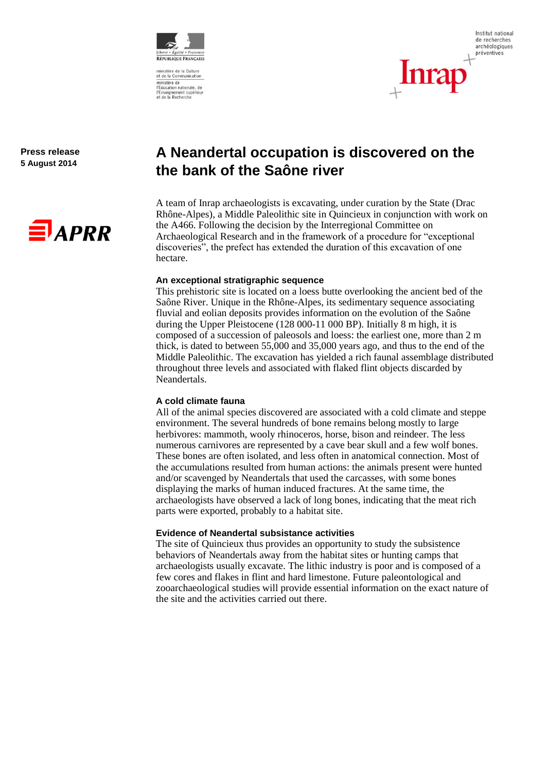

ministère de<br>l'Éducation nationale, de<br>l'Enseignement supérieur<br>et de la Recherche



**Press release 5 August 2014**



# **A Neandertal occupation is discovered on the the bank of the Saône river**

A team of Inrap archaeologists is excavating, under curation by the State (Drac Rhône-Alpes), a Middle Paleolithic site in Quincieux in conjunction with work on the A466. Following the decision by the Interregional Committee on Archaeological Research and in the framework of a procedure for "exceptional discoveries", the prefect has extended the duration of this excavation of one hectare.

### **An exceptional stratigraphic sequence**

This prehistoric site is located on a loess butte overlooking the ancient bed of the Saône River. Unique in the Rhône-Alpes, its sedimentary sequence associating fluvial and eolian deposits provides information on the evolution of the Saône during the Upper Pleistocene (128 000-11 000 BP). Initially 8 m high, it is composed of a succession of paleosols and loess: the earliest one, more than 2 m thick, is dated to between 55,000 and 35,000 years ago, and thus to the end of the Middle Paleolithic. The excavation has yielded a rich faunal assemblage distributed throughout three levels and associated with flaked flint objects discarded by Neandertals.

## **A cold climate fauna**

All of the animal species discovered are associated with a cold climate and steppe environment. The several hundreds of bone remains belong mostly to large herbivores: mammoth, wooly rhinoceros, horse, bison and reindeer. The less numerous carnivores are represented by a cave bear skull and a few wolf bones. These bones are often isolated, and less often in anatomical connection. Most of the accumulations resulted from human actions: the animals present were hunted and/or scavenged by Neandertals that used the carcasses, with some bones displaying the marks of human induced fractures. At the same time, the archaeologists have observed a lack of long bones, indicating that the meat rich parts were exported, probably to a habitat site.

## **Evidence of Neandertal subsistance activities**

The site of Quincieux thus provides an opportunity to study the subsistence behaviors of Neandertals away from the habitat sites or hunting camps that archaeologists usually excavate. The lithic industry is poor and is composed of a few cores and flakes in flint and hard limestone. Future paleontological and zooarchaeological studies will provide essential information on the exact nature of the site and the activities carried out there.